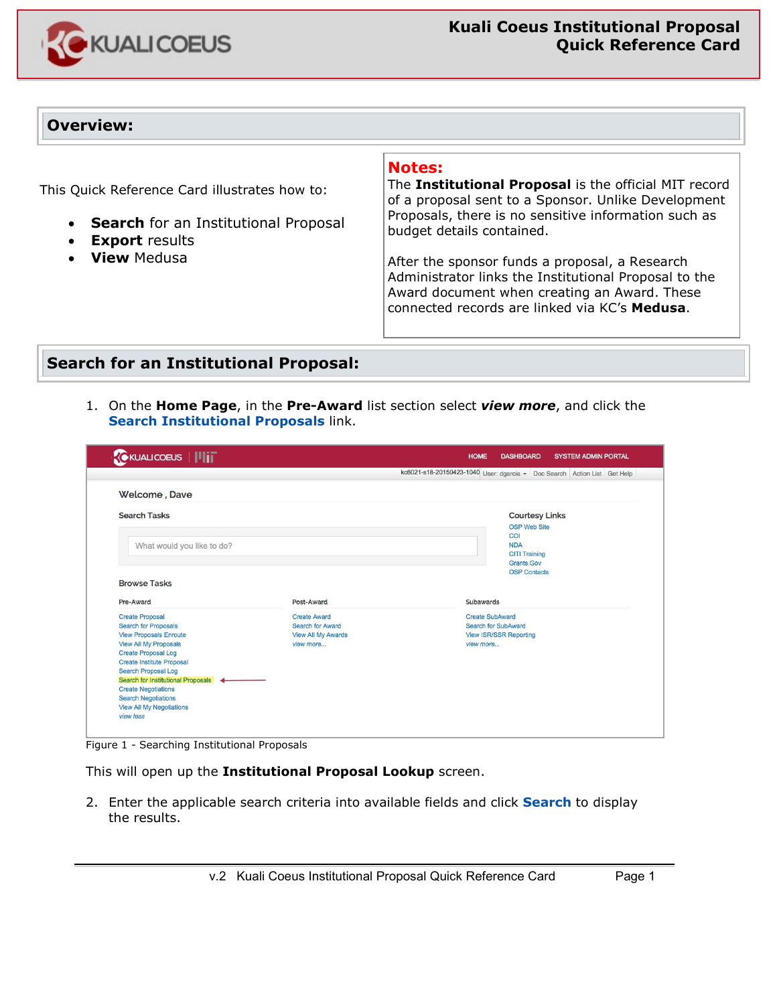

### **Overview:**

This Quick Reference Card illustrates how to:

- **Search** for an Institutional Proposal
- **Export** results
- **View** Medusa

#### **Notes:**

The **Institutional Proposal** is the official MIT record of a proposal sent to a Sponsor. Unlike Development Proposals, there is no sensitive information such as budget details contained.

After the sponsor funds a proposal, a Research Administrator links the Institutional Proposal to the Award document when creating an Award. These connected records are linked via KC's **Medusa**.

### **Search for an Institutional Proposal:**

1. On the **Home Page**, in the **Pre-Award** list section select *view more*, and click the **Search Institutional Proposals** link.

| <b>CKUALICOEUS</b>   IIIT            |                           | <b>HOME</b><br><b>DASHBOARD</b><br><b>SYSTEM ADMIN PORTAL</b>            |  |
|--------------------------------------|---------------------------|--------------------------------------------------------------------------|--|
|                                      |                           | kc6021-s18-20150423-1040 User: dgarcia - Doc Search Action List Get Help |  |
| Welcome, Dave                        |                           |                                                                          |  |
| <b>Search Tasks</b>                  |                           | <b>Courtesy Links</b>                                                    |  |
|                                      |                           | <b>OSP Web Site</b>                                                      |  |
|                                      |                           | COI                                                                      |  |
| What would you like to do?           |                           | <b>NDA</b><br><b>CITI Training</b>                                       |  |
|                                      |                           | Grants.Gov                                                               |  |
|                                      |                           | <b>OSP</b> Contacts                                                      |  |
| <b>Browse Tasks</b>                  |                           |                                                                          |  |
|                                      |                           |                                                                          |  |
| Pre-Award                            | Post-Award                | <b>Subawards</b>                                                         |  |
| <b>Create Proposal</b>               | <b>Create Award</b>       | <b>Create SubAward</b>                                                   |  |
| <b>Search for Proposals</b>          | <b>Search for Award</b>   | <b>Search for SubAward</b>                                               |  |
| <b>View Proposals Enroute</b>        | <b>View All My Awards</b> | <b>View ISR/SSR Reporting</b>                                            |  |
| <b>View All My Proposals</b>         | view more                 | view more                                                                |  |
| <b>Create Proposal Log</b>           |                           |                                                                          |  |
| <b>Create Institute Proposal</b>     |                           |                                                                          |  |
| <b>Search Proposal Log</b>           |                           |                                                                          |  |
| Search for Institutional Proposals < |                           |                                                                          |  |
|                                      |                           |                                                                          |  |
| <b>Create Negotiations</b>           |                           |                                                                          |  |
| <b>Search Negotiations</b>           |                           |                                                                          |  |
| <b>View All My Negotiations</b>      |                           |                                                                          |  |

Figure 1 - Searching Institutional Proposals

This will open up the **Institutional Proposal Lookup** screen.

2. Enter the applicable search criteria into available fields and click **Search** to display the results.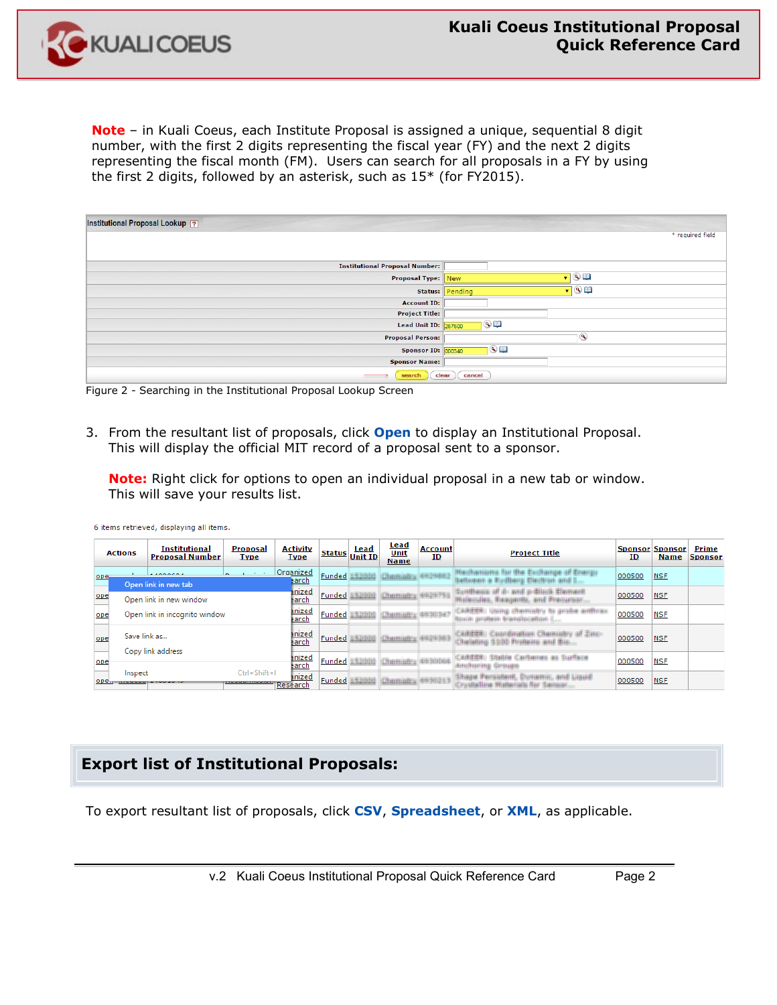**Note** – in Kuali Coeus, each Institute Proposal is assigned a unique, sequential 8 digit number, with the first 2 digits representing the fiscal year (FY) and the next 2 digits representing the fiscal month (FM). Users can search for all proposals in a FY by using the first 2 digits, followed by an asterisk, such as 15\* (for FY2015).

| Institutional Proposal Lookup ?       |                                          |
|---------------------------------------|------------------------------------------|
|                                       | * required field                         |
|                                       |                                          |
| <b>Institutional Proposal Number:</b> |                                          |
| <b>Proposal Type: New</b>             | $\blacksquare$                           |
|                                       | $\bullet$ 0 $\bullet$<br>Status: Pending |
| <b>Account ID:</b>                    |                                          |
| <b>Project Title:</b>                 |                                          |
| <b>Lead Unit ID: 267600</b>           | $\odot$                                  |
| <b>Proposal Person:</b>               | ۷                                        |
| <b>Sponsor ID: 000340</b>             | $\circ$                                  |
| <b>Sponsor Name:</b>                  |                                          |
| search                                | clear<br>cancel                          |

Figure 2 - Searching in the Institutional Proposal Lookup Screen

3. From the resultant list of proposals, click **Open** to display an Institutional Proposal. This will display the official MIT record of a proposal sent to a sponsor.

**Note:** Right click for options to open an individual proposal in a new tab or window. This will save your results list.

|      | <b>Actions</b>                               | <b>Institutional</b><br><b>Proposal Number</b> | <b>Proposal</b><br><b>Type</b> | <b>Activity</b><br><b>Type</b> |               | <b>Lead</b><br>Status Unit ID | <u>Lead</u><br>Unit<br><b>Name</b> | <b>Account</b><br>ID | <b>Project Title</b>                                                          | <b>Sponsor Sponsor</b><br>ID | <b>Name</b> | Prime<br><b>Sponsor</b> |
|------|----------------------------------------------|------------------------------------------------|--------------------------------|--------------------------------|---------------|-------------------------------|------------------------------------|----------------------|-------------------------------------------------------------------------------|------------------------------|-------------|-------------------------|
| ope. |                                              | $\lambda$<br>Open link in new tab              | <b>Service</b>                 | Organized<br>earch             | <b>Funded</b> |                               | Etititi Chamaly stiltiti.          |                      | Medhaniams for the Exchange of Energy<br>between a Rudberg Electron and E     | 000500                       | <b>NSF</b>  |                         |
| ope  |                                              | Open link in new window                        |                                | <u>inized</u><br>earch         | <b>Funded</b> |                               | STUDIO Chemistry 49329793          |                      | Sunthesis of d- and p-Blinik Element<br>Writerules, Beagertts, and Precursor, | 000500                       | <b>NSF</b>  |                         |
| ope  |                                              | Open link in incognito window                  |                                | inized<br><u>earch</u>         | <b>Funded</b> | Stinke                        | Chemietra 4/63156                  |                      | CARISEE: Using chemichy to probe anthrax<br>Rosin probein transitionfilm (    | 000500                       | <b>NSF</b>  |                         |
| ope  | Save link as                                 | Copy link address                              |                                | inized<br><b>Harch</b>         |               |                               | Funded Station Chamistry (1929-193 |                      | CAREER: Caordination Chemistry of Zinc-<br>Chalating \$500 Proteins and Bio   | 000500                       | <b>NSF</b>  |                         |
| ope  |                                              |                                                |                                | inized<br>earch                | Funded        |                               | CREINING (415/2018)                |                      | CAREER: Stable Carbones as Surface<br><b>Britillianing</b> Grauge             | 000500                       | <b>NSF</b>  |                         |
| ope. | Inspect<br><b>The Secret Service Service</b> |                                                | $Ctrl + Shift + 1$             | inized<br>Research             | Funded        | <b>CRISTEL</b>                | <b>ICROSSIMINA RISISTER</b>        |                      | Shape Persident, Dunamic, and Liquid<br>Crushelline Materials for Sensor.     | 000500                       | <b>NSF</b>  |                         |

6 items retrieved, displaying all items.

# **Export list of Institutional Proposals:**

To export resultant list of proposals, click **CSV**, **Spreadsheet**, or **XML**, as applicable.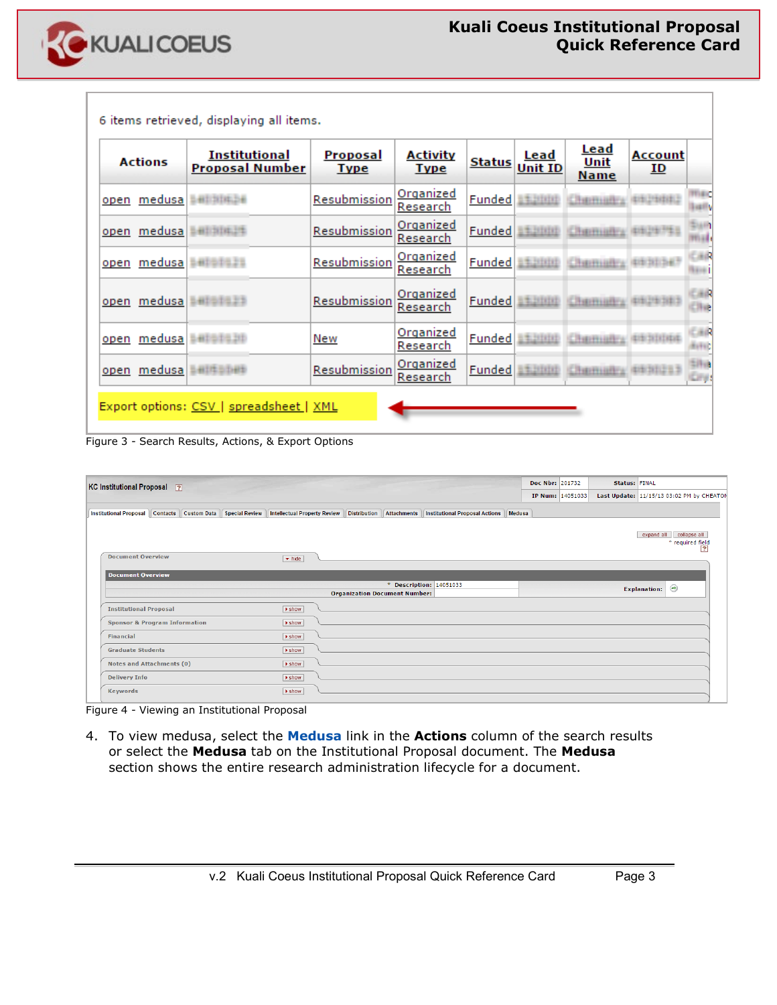

| <b>Actions</b>            | Institutional<br><b>Proposal Number</b> | <b>Proposal</b><br><b>Type</b> | <b>Activity</b><br><b>Type</b> | <b>Status</b> | <u>Lead</u><br><b>Unit ID</b> | <u>Lead</u><br><b>Unit</b><br><b>Name</b> | <u>Account</u><br>ID |                     |
|---------------------------|-----------------------------------------|--------------------------------|--------------------------------|---------------|-------------------------------|-------------------------------------------|----------------------|---------------------|
| open medusa antistica     |                                         | <b>Resubmission</b>            | <b>Organized</b><br>Research   | <b>Funded</b> | 11,888                        | <b>CRADITION</b>                          | 41912134341          |                     |
| <u>open medusa amamaz</u> |                                         | Resubmission                   | Organized<br>Research          | Funded        | <b>BRINGE</b>                 | Charmiens                                 |                      |                     |
| open medusa ambulan       |                                         | <b>Resubmission</b>            | <u>Organized</u><br>Research   | <b>Funded</b> | 111111                        | <b>CRADITION</b>                          |                      |                     |
| open medusa antara a      |                                         | Resubmission                   | <b>Organized</b><br>Research   |               | Funded <b>ALLINE</b>          | CREHIMFA 49129-1813                       |                      | 画像<br>Hve           |
| open                      | medusa Bellotaat                        | New                            | <b>Organized</b><br>Research   | <b>Funded</b> | E#LINNE                       | Charmiens                                 | <b>49-201110-2</b>   | 画像<br><b>Bifti</b>  |
| <u>open medusa</u>        |                                         | Resubmission                   | Organized<br>Research          | <b>Funded</b> | 51.910D                       | <b>Chairmanns</b>                         | (419-3112-5.3)       | $100 - 100$<br>Ery. |

Figure 3 - Search Results, Actions, & Export Options

| KC Institutional Proposal ?              |          |                              |                                     |  |                                      |                                                | Doc Nbr: 201732 |                  | <b>Status: FINAL</b> |                     |                                                    |
|------------------------------------------|----------|------------------------------|-------------------------------------|--|--------------------------------------|------------------------------------------------|-----------------|------------------|----------------------|---------------------|----------------------------------------------------|
|                                          |          |                              |                                     |  |                                      |                                                |                 | IP Num: 14051033 |                      |                     | Last Update: 11/15/13 03:02 PM by CHEATON          |
| <b>Institutional Proposal</b>            | Contacts | Custom Data   Special Review | <b>Intellectual Property Review</b> |  | Distribution    Attachments          | <b>Institutional Proposal Actions   Medusa</b> |                 |                  |                      |                     |                                                    |
|                                          |          |                              |                                     |  |                                      |                                                |                 |                  |                      |                     |                                                    |
|                                          |          |                              |                                     |  |                                      |                                                |                 |                  |                      | expand all          | collapse all<br>* required field<br>$\overline{2}$ |
| <b>Document Overview</b>                 |          |                              | $\blacktriangleright$ hide          |  |                                      |                                                |                 |                  |                      |                     |                                                    |
|                                          |          |                              |                                     |  |                                      |                                                |                 |                  |                      |                     |                                                    |
| <b>Document Overview</b>                 |          |                              |                                     |  |                                      |                                                |                 |                  |                      |                     |                                                    |
|                                          |          |                              |                                     |  |                                      | * Description: 14051033                        |                 |                  |                      | <b>Explanation:</b> | $\odot$                                            |
|                                          |          |                              |                                     |  | <b>Organization Document Number:</b> |                                                |                 |                  |                      |                     |                                                    |
| <b>Institutional Proposal</b>            |          |                              | $\blacktriangleright$ show          |  |                                      |                                                |                 |                  |                      |                     |                                                    |
| <b>Sponsor &amp; Program Information</b> |          |                              | <b>b</b> show                       |  |                                      |                                                |                 |                  |                      |                     |                                                    |
| <b>Financial</b>                         |          |                              | $\blacktriangleright$ show          |  |                                      |                                                |                 |                  |                      |                     |                                                    |
| <b>Graduate Students</b>                 |          |                              | $\blacktriangleright$ show          |  |                                      |                                                |                 |                  |                      |                     |                                                    |
| <b>Notes and Attachments (0)</b>         |          |                              | $\blacktriangleright$ show          |  |                                      |                                                |                 |                  |                      |                     |                                                    |
| <b>Delivery Info</b>                     |          |                              | <b>b</b> show                       |  |                                      |                                                |                 |                  |                      |                     |                                                    |
| <b>Keywords</b>                          |          |                              | $\blacktriangleright$ show          |  |                                      |                                                |                 |                  |                      |                     |                                                    |
|                                          |          |                              |                                     |  |                                      |                                                |                 |                  |                      |                     |                                                    |

Figure 4 - Viewing an Institutional Proposal

4. To view medusa, select the **Medusa** link in the **Actions** column of the search results or select the **Medusa** tab on the Institutional Proposal document. The **Medusa**  section shows the entire research administration lifecycle for a document.